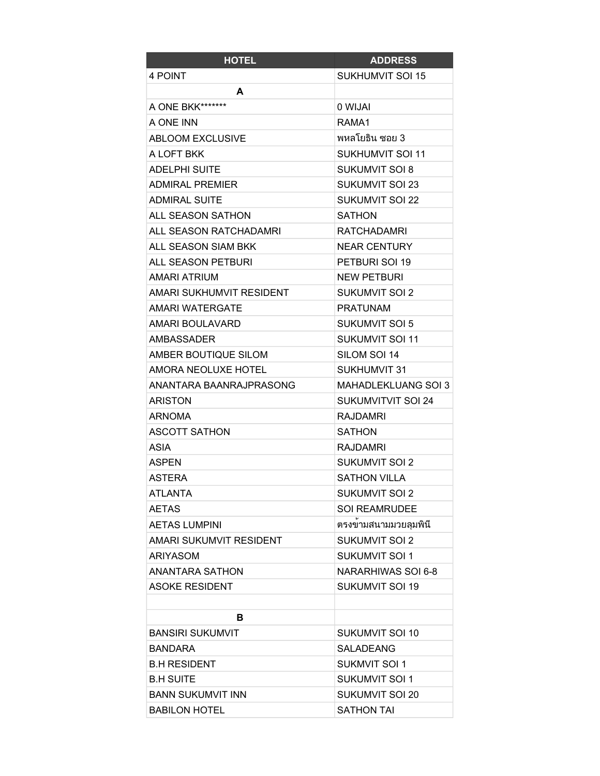| <b>HOTEL</b>              | <b>ADDRESS</b>             |
|---------------------------|----------------------------|
| 4 POINT                   | <b>SUKHUMVIT SOI 15</b>    |
| A                         |                            |
| A ONE BKK*******          | 0 WIJAI                    |
| A ONE INN                 | RAMA1                      |
| <b>ABLOOM EXCLUSIVE</b>   | พหลโยธิน ซอย 3             |
| A LOFT BKK                | <b>SUKHUMVIT SOI 11</b>    |
| <b>ADELPHI SUITE</b>      | <b>SUKUMVIT SOI 8</b>      |
| ADMIRAL PREMIER           | <b>SUKUMVIT SOI 23</b>     |
| <b>ADMIRAL SUITE</b>      | <b>SUKUMVIT SOI 22</b>     |
| ALL SEASON SATHON         | <b>SATHON</b>              |
| ALL SEASON RATCHADAMRI    | <b>RATCHADAMRI</b>         |
| ALL SEASON SIAM BKK       | <b>NEAR CENTURY</b>        |
| <b>ALL SEASON PETBURI</b> | PETBURI SOI 19             |
| <b>AMARI ATRIUM</b>       | <b>NEW PETBURI</b>         |
| AMARI SUKHUMVIT RESIDENT  | <b>SUKUMVIT SOI 2</b>      |
| <b>AMARI WATERGATE</b>    | <b>PRATUNAM</b>            |
| AMARI BOULAVARD           | <b>SUKUMVIT SOI 5</b>      |
| <b>AMBASSADER</b>         | <b>SUKUMVIT SOI 11</b>     |
| AMBER BOUTIQUE SILOM      | SILOM SOI 14               |
| AMORA NEOLUXE HOTEL       | <b>SUKHUMVIT 31</b>        |
| ANANTARA BAANRAJPRASONG   | <b>MAHADLEKLUANG SOI 3</b> |
| <b>ARISTON</b>            | <b>SUKUMVITVIT SOI 24</b>  |
| <b>ARNOMA</b>             | <b>RAJDAMRI</b>            |
| <b>ASCOTT SATHON</b>      | <b>SATHON</b>              |
| ASIA                      | <b>RAJDAMRI</b>            |
| <b>ASPEN</b>              | <b>SUKUMVIT SOI 2</b>      |
| <b>ASTERA</b>             | <b>SATHON VILLA</b>        |
| <b>ATLANTA</b>            | SUKUMVIT SOI 2             |
| <b>AETAS</b>              | <b>SOI REAMRUDEE</b>       |
| <b>AETAS LUMPINI</b>      | ตรงขามสนามมวยลุมพินี       |
| AMARI SUKUMVIT RESIDENT   | <b>SUKUMVIT SOI 2</b>      |
| <b>ARIYASOM</b>           | <b>SUKUMVIT SOI 1</b>      |
| ANANTARA SATHON           | NARARHIWAS SOI 6-8         |
| <b>ASOKE RESIDENT</b>     | <b>SUKUMVIT SOI 19</b>     |
|                           |                            |
| в                         |                            |
| <b>BANSIRI SUKUMVIT</b>   | <b>SUKUMVIT SOI 10</b>     |
| <b>BANDARA</b>            | <b>SALADEANG</b>           |
| <b>B.H RESIDENT</b>       | <b>SUKMVIT SOI 1</b>       |
| <b>B.H SUITE</b>          | SUKUMVIT SOI 1             |
| <b>BANN SUKUMVIT INN</b>  | SUKUMVIT SOI 20            |
| <b>BABILON HOTEL</b>      | <b>SATHON TAI</b>          |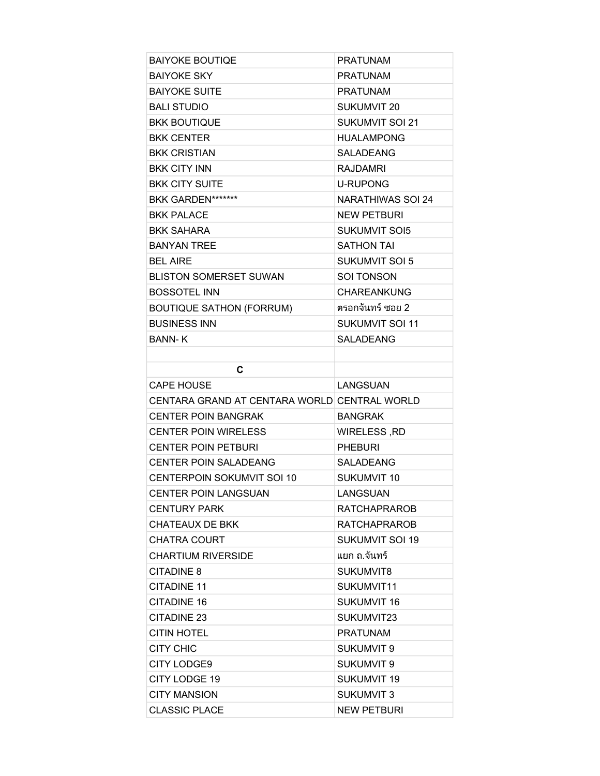| <b>BAIYOKE BOUTIQE</b>                       | <b>PRATUNAM</b>          |
|----------------------------------------------|--------------------------|
| <b>BAIYOKE SKY</b>                           | <b>PRATUNAM</b>          |
| <b>BAIYOKE SUITE</b>                         | <b>PRATUNAM</b>          |
| <b>BALI STUDIO</b>                           | <b>SUKUMVIT 20</b>       |
| <b>BKK BOUTIQUE</b>                          | <b>SUKUMVIT SOI 21</b>   |
| <b>BKK CENTER</b>                            | <b>HUALAMPONG</b>        |
| <b>BKK CRISTIAN</b>                          | <b>SALADEANG</b>         |
| <b>BKK CITY INN</b>                          | <b>RAJDAMRI</b>          |
| <b>BKK CITY SUITE</b>                        | <b>U-RUPONG</b>          |
| BKK GARDEN*******                            | <b>NARATHIWAS SOI 24</b> |
| <b>BKK PALACE</b>                            | <b>NEW PETBURI</b>       |
| <b>BKK SAHARA</b>                            | <b>SUKUMVIT SOI5</b>     |
| <b>BANYAN TREE</b>                           | <b>SATHON TAI</b>        |
| <b>BEL AIRE</b>                              | SUKUMVIT SOI 5           |
| <b>BLISTON SOMERSET SUWAN</b>                | <b>SOI TONSON</b>        |
| <b>BOSSOTEL INN</b>                          | <b>CHAREANKUNG</b>       |
| <b>BOUTIQUE SATHON (FORRUM)</b>              | ็ตรอกจันทร์ ซอย 2        |
| <b>BUSINESS INN</b>                          | <b>SUKUMVIT SOI 11</b>   |
| <b>BANN-K</b>                                | <b>SAI ADEANG</b>        |
|                                              |                          |
| C                                            |                          |
| <b>CAPE HOUSE</b>                            | LANGSUAN                 |
| CENTARA GRAND AT CENTARA WORLD CENTRAL WORLD |                          |
| <b>CENTER POIN BANGRAK</b>                   | <b>BANGRAK</b>           |
| <b>CENTER POIN WIRELESS</b>                  | WIRELESS, RD             |
| <b>CENTER POIN PETBURI</b>                   | <b>PHEBURI</b>           |
| <b>CENTER POIN SALADEANG</b>                 | <b>SALADEANG</b>         |
| CENTERPOIN SOKUMVIT SOI 10                   | <b>SUKUMVIT 10</b>       |
| <b>CENTER POIN LANGSUAN</b>                  | LANGSUAN                 |
| <b>CENTURY PARK</b>                          | <b>RATCHAPRAROB</b>      |
| <b>CHATEAUX DE BKK</b>                       | <b>RATCHAPRAROB</b>      |
| <b>CHATRA COURT</b>                          | <b>SUKUMVIT SOI 19</b>   |
| <b>CHARTIUM RIVERSIDE</b>                    | แยก ถ.จันทร์             |
| CITADINE 8                                   | SUKUMVIT8                |
| <b>CITADINE 11</b>                           | SUKUMVIT11               |
| <b>CITADINE 16</b>                           | <b>SUKUMVIT 16</b>       |
| <b>CITADINE 23</b>                           | SUKUMVIT23               |
| <b>CITIN HOTEL</b>                           | <b>PRATUNAM</b>          |
| <b>CITY CHIC</b>                             | <b>SUKUMVIT 9</b>        |
| <b>CITY LODGE9</b>                           | <b>SUKUMVIT 9</b>        |
| <b>CITY LODGE 19</b>                         | <b>SUKUMVIT 19</b>       |
| <b>CITY MANSION</b>                          | <b>SUKUMVIT 3</b>        |
|                                              |                          |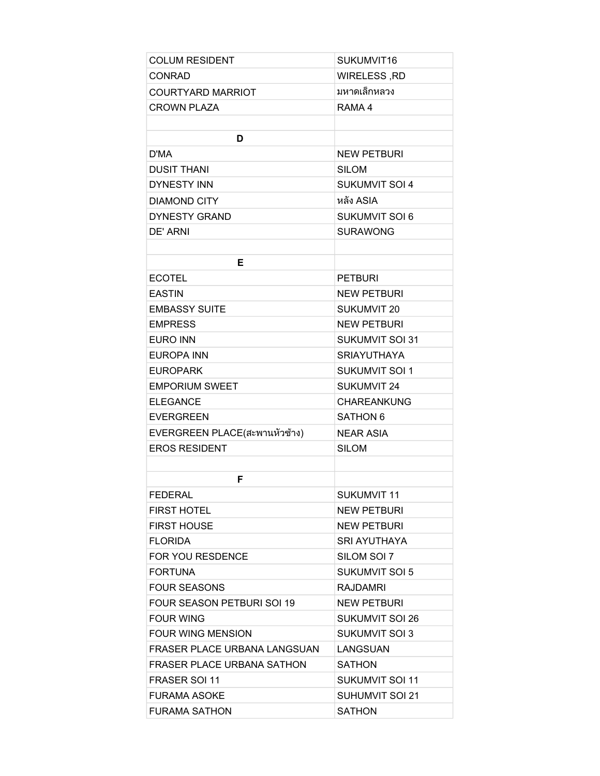| <b>COLUM RESIDENT</b>             | SUKUMVIT16             |
|-----------------------------------|------------------------|
| <b>CONRAD</b>                     | WIRELESS, RD           |
| <b>COURTYARD MARRIOT</b>          | มหาดเล็กหลวง           |
| <b>CROWN PLAZA</b>                | RAMA 4                 |
|                                   |                        |
| D                                 |                        |
| D'MA                              | <b>NEW PETBURI</b>     |
| <b>DUSIT THANI</b>                | <b>SILOM</b>           |
| <b>DYNESTY INN</b>                | <b>SUKUMVIT SOI 4</b>  |
| <b>DIAMOND CITY</b>               | หลัง ASIA              |
| <b>DYNESTY GRAND</b>              | <b>SUKUMVIT SOI 6</b>  |
| DE' ARNI                          | <b>SURAWONG</b>        |
|                                   |                        |
| Е                                 |                        |
| <b>ECOTEL</b>                     | <b>PETBURI</b>         |
| <b>EASTIN</b>                     | <b>NEW PETBURI</b>     |
| <b>EMBASSY SUITE</b>              | SUKUMVIT 20            |
| <b>EMPRESS</b>                    | <b>NEW PETBURI</b>     |
| <b>EURO INN</b>                   | <b>SUKUMVIT SOI 31</b> |
| <b>EUROPA INN</b>                 | <b>SRIAYUTHAYA</b>     |
| <b>EUROPARK</b>                   | <b>SUKUMVIT SOI 1</b>  |
| <b>EMPORIUM SWEET</b>             | <b>SUKUMVIT 24</b>     |
| <b>ELEGANCE</b>                   | <b>CHAREANKUNG</b>     |
| <b>EVERGREEN</b>                  | <b>SATHON 6</b>        |
| EVERGREEN PLACE(สะพานหัวช้าง)     | <b>NEAR ASIA</b>       |
| <b>EROS RESIDENT</b>              | <b>SILOM</b>           |
|                                   |                        |
| F                                 |                        |
| <b>FEDERAL</b>                    | <b>SUKUMVIT 11</b>     |
| <b>FIRST HOTEL</b>                | <b>NEW PETBURI</b>     |
| <b>FIRST HOUSE</b>                | <b>NEW PETBURI</b>     |
| <b>FLORIDA</b>                    | <b>SRI AYUTHAYA</b>    |
| FOR YOU RESDENCE                  | SILOM SOI 7            |
| <b>FORTUNA</b>                    | SUKUMVIT SOI 5         |
| <b>FOUR SEASONS</b>               | <b>RAJDAMRI</b>        |
| <b>FOUR SEASON PETBURI SOL19</b>  | <b>NEW PETBURI</b>     |
| <b>FOUR WING</b>                  | <b>SUKUMVIT SOI 26</b> |
| <b>FOUR WING MENSION</b>          | <b>SUKUMVIT SOI 3</b>  |
| FRASER PLACE URBANA LANGSUAN      | LANGSUAN               |
| <b>FRASER PLACE URBANA SATHON</b> | SATHON                 |
| <b>FRASER SOL11</b>               | <b>SUKUMVIT SOI 11</b> |
| <b>FURAMA ASOKE</b>               | SUHUMVIT SOI 21        |
| <b>FURAMA SATHON</b>              | <b>SATHON</b>          |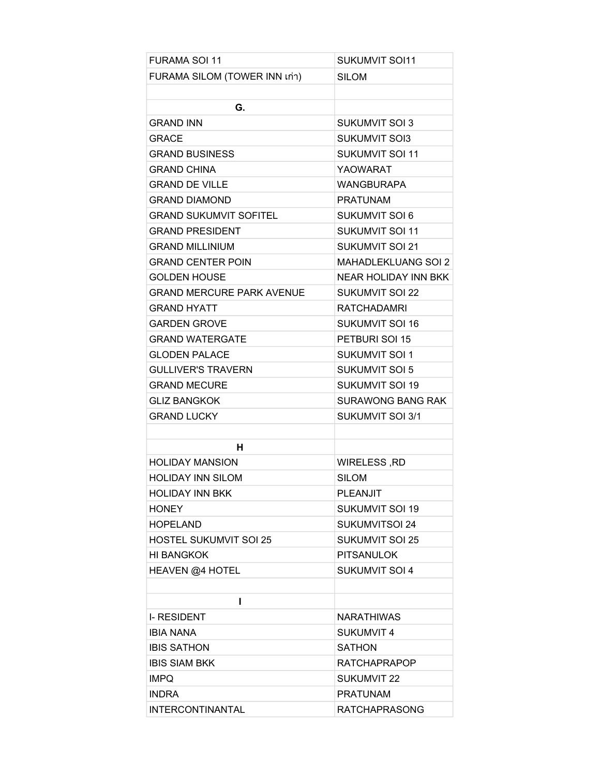| <b>FURAMA SOI 11</b>             | <b>SUKUMVIT SOI11</b>      |
|----------------------------------|----------------------------|
| FURAMA SILOM (TOWER INN เก่า)    | <b>SILOM</b>               |
|                                  |                            |
| G.                               |                            |
| <b>GRAND INN</b>                 | <b>SUKUMVIT SOI 3</b>      |
| <b>GRACE</b>                     | <b>SUKUMVIT SOI3</b>       |
| <b>GRAND BUSINESS</b>            | <b>SUKUMVIT SOI 11</b>     |
| <b>GRAND CHINA</b>               | <b>YAOWARAT</b>            |
| <b>GRAND DE VILLE</b>            | <b>WANGBURAPA</b>          |
| <b>GRAND DIAMOND</b>             | <b>PRATUNAM</b>            |
| <b>GRAND SUKUMVIT SOFITEL</b>    | <b>SUKUMVIT SOI 6</b>      |
| <b>GRAND PRESIDENT</b>           | <b>SUKUMVIT SOI 11</b>     |
| <b>GRAND MILLINIUM</b>           | <b>SUKUMVIT SOI 21</b>     |
| <b>GRAND CENTER POIN</b>         | <b>MAHADLEKLUANG SOI 2</b> |
| <b>GOLDEN HOUSE</b>              | NEAR HOLIDAY INN BKK       |
| <b>GRAND MERCURE PARK AVENUE</b> | <b>SUKUMVIT SOI 22</b>     |
| <b>GRAND HYATT</b>               | <b>RATCHADAMRI</b>         |
| <b>GARDEN GROVE</b>              | <b>SUKUMVIT SOI 16</b>     |
| <b>GRAND WATERGATE</b>           | PETBURI SOI 15             |
| <b>GLODEN PALACE</b>             | <b>SUKUMVIT SOI 1</b>      |
| <b>GULLIVER'S TRAVERN</b>        | <b>SUKUMVIT SOI 5</b>      |
| <b>GRAND MECURE</b>              | <b>SUKUMVIT SOI 19</b>     |
| <b>GLIZ BANGKOK</b>              | <b>SURAWONG BANG RAK</b>   |
| <b>GRAND LUCKY</b>               | <b>SUKUMVIT SOI 3/1</b>    |
|                                  |                            |
| н                                |                            |
| <b>HOLIDAY MANSION</b>           | WIRELESS, RD               |
| <b>HOLIDAY INN SILOM</b>         | <b>SILOM</b>               |
| <b>HOLIDAY INN BKK</b>           | PLEANJIT                   |
| <b>HONEY</b>                     | <b>SUKUMVIT SOI 19</b>     |
| <b>HOPELAND</b>                  | <b>SUKUMVITSOI 24</b>      |
| <b>HOSTEL SUKUMVIT SOI 25</b>    | <b>SUKUMVIT SOI 25</b>     |
| <b>HI BANGKOK</b>                | <b>PITSANULOK</b>          |
| HEAVEN @4 HOTEL                  | <b>SUKUMVIT SOI 4</b>      |
|                                  |                            |
| ı                                |                            |
| <b>I-RESIDENT</b>                | <b>NARATHIWAS</b>          |
| <b>IBIA NANA</b>                 | <b>SUKUMVIT 4</b>          |
| <b>IBIS SATHON</b>               | <b>SATHON</b>              |
| <b>IBIS SIAM BKK</b>             | <b>RATCHAPRAPOP</b>        |
| <b>IMPQ</b>                      | <b>SUKUMVIT 22</b>         |
| <b>INDRA</b>                     | <b>PRATUNAM</b>            |
| <b>INTERCONTINANTAL</b>          | <b>RATCHAPRASONG</b>       |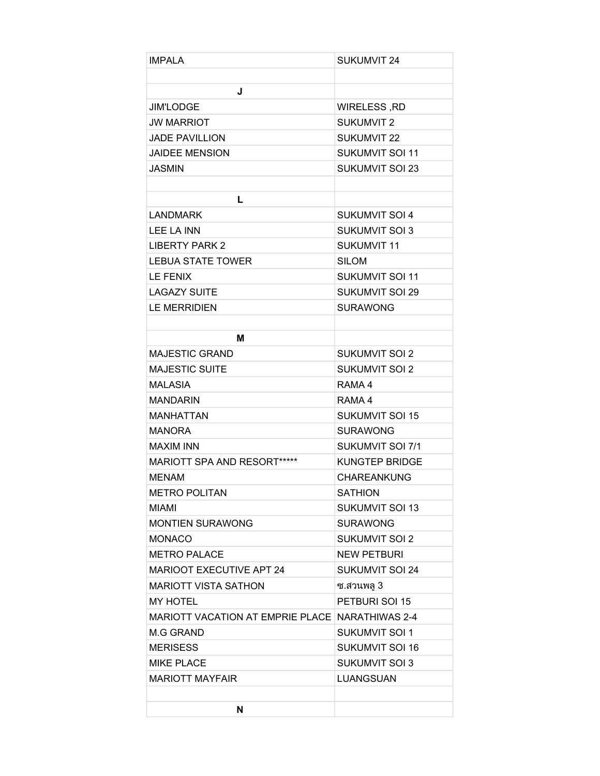| <b>IMPALA</b>                                   | <b>SUKUMVIT 24</b>      |
|-------------------------------------------------|-------------------------|
|                                                 |                         |
| J                                               |                         |
| <b>JIM'LODGE</b>                                | WIRELESS, RD            |
| <b>JW MARRIOT</b>                               | <b>SUKUMVIT 2</b>       |
| <b>JADE PAVILLION</b>                           | <b>SUKUMVIT 22</b>      |
| <b>JAIDEE MENSION</b>                           | <b>SUKUMVIT SOI 11</b>  |
| <b>JASMIN</b>                                   | <b>SUKUMVIT SOI 23</b>  |
|                                                 |                         |
| L                                               |                         |
| <b>LANDMARK</b>                                 | <b>SUKUMVIT SOI 4</b>   |
| LEE LA INN                                      | <b>SUKUMVIT SOI 3</b>   |
| <b>LIBERTY PARK 2</b>                           | <b>SUKUMVIT 11</b>      |
| <b>LEBUA STATE TOWER</b>                        | <b>SILOM</b>            |
| <b>LE FENIX</b>                                 | <b>SUKUMVIT SOI 11</b>  |
| <b>LAGAZY SUITE</b>                             | <b>SUKUMVIT SOI 29</b>  |
| <b>LE MERRIDIEN</b>                             | <b>SURAWONG</b>         |
|                                                 |                         |
| M                                               |                         |
| <b>MAJESTIC GRAND</b>                           | <b>SUKUMVIT SOI 2</b>   |
| <b>MAJESTIC SUITE</b>                           | <b>SUKUMVIT SOI 2</b>   |
| <b>MALASIA</b>                                  | RAMA 4                  |
| <b>MANDARIN</b>                                 | RAMA 4                  |
| <b>MANHATTAN</b>                                | <b>SUKUMVIT SOI 15</b>  |
| <b>MANORA</b>                                   | <b>SURAWONG</b>         |
| <b>MAXIM INN</b>                                | <b>SUKUMVIT SOI 7/1</b> |
| MARIOTT SPA AND RESORT*****                     | <b>KUNGTEP BRIDGE</b>   |
| <b>MENAM</b>                                    | <b>CHAREANKUNG</b>      |
| <b>METRO POLITAN</b>                            | SATHION                 |
| MIAMI                                           | <b>SUKUMVIT SOI 13</b>  |
| <b>MONTIEN SURAWONG</b>                         | <b>SURAWONG</b>         |
| <b>MONACO</b>                                   | <b>SUKUMVIT SOI 2</b>   |
| <b>METRO PALACE</b>                             | <b>NEW PETBURI</b>      |
| <b>MARIOOT EXECUTIVE APT 24</b>                 | <b>SUKUMVIT SOI 24</b>  |
| <b>MARIOTT VISTA SATHON</b>                     | ซ.สวนพลู 3              |
| <b>MY HOTEL</b>                                 | PETBURI SOI 15          |
| MARIOTT VACATION AT EMPRIE PLACE NARATHIWAS 2-4 |                         |
| <b>M.G GRAND</b>                                | <b>SUKUMVIT SOI 1</b>   |
| <b>MERISESS</b>                                 | <b>SUKUMVIT SOI 16</b>  |
| <b>MIKE PLACE</b>                               | <b>SUKUMVIT SOI 3</b>   |
| <b>MARIOTT MAYFAIR</b>                          | LUANGSUAN               |
|                                                 |                         |
| N                                               |                         |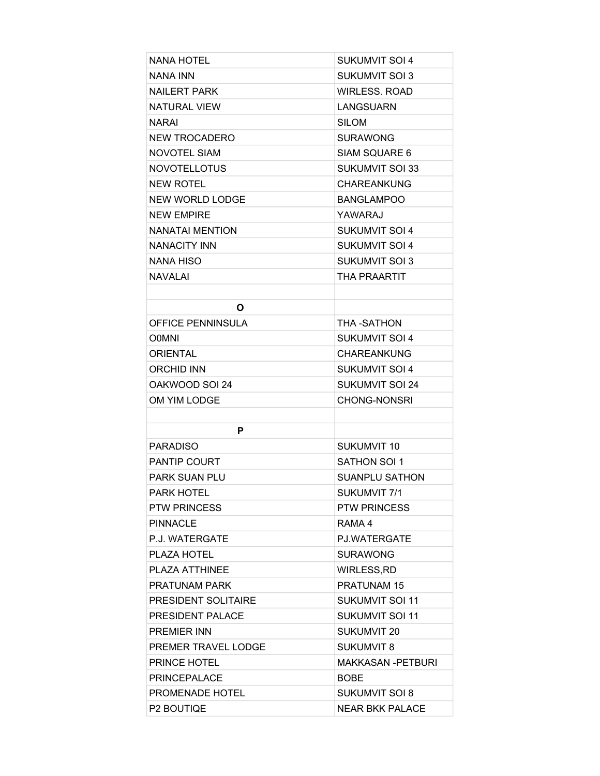| <b>NANA HOTEL</b>          | SUKUMVIT SOI 4           |
|----------------------------|--------------------------|
| NANA INN                   | <b>SUKUMVIT SOI 3</b>    |
| <b>NAILERT PARK</b>        | <b>WIRLESS, ROAD</b>     |
| <b>NATURAL VIEW</b>        | <b>LANGSUARN</b>         |
| <b>NARAI</b>               | <b>SILOM</b>             |
| <b>NEW TROCADERO</b>       | SURAWONG                 |
| <b>NOVOTEL SIAM</b>        | SIAM SQUARE 6            |
| <b>NOVOTELLOTUS</b>        | <b>SUKUMVIT SOI 33</b>   |
| <b>NEW ROTEL</b>           | <b>CHAREANKUNG</b>       |
| <b>NEW WORLD LODGE</b>     | <b>BANGLAMPOO</b>        |
| <b>NEW EMPIRE</b>          | YAWARAJ                  |
| NANATAI MENTION            | <b>SUKUMVIT SOI 4</b>    |
| <b>NANACITY INN</b>        | <b>SUKUMVIT SOI 4</b>    |
| NANA HISO                  | SUKUMVIT SOI 3           |
| <b>NAVALAI</b>             | THA PRAARTIT             |
|                            |                          |
| O                          |                          |
| OFFICE PENNINSULA          | THA-SATHON               |
| <b>O0MNI</b>               | <b>SUKUMVIT SOI 4</b>    |
| <b>ORIENTAL</b>            | CHAREANKUNG              |
| <b>ORCHID INN</b>          | <b>SUKUMVIT SOI 4</b>    |
| OAKWOOD SOL24              | SUKUMVIT SOI 24          |
| OM YIM LODGE               | <b>CHONG-NONSRI</b>      |
|                            |                          |
| P                          |                          |
| <b>PARADISO</b>            | SUKUMVIT 10              |
| <b>PANTIP COURT</b>        | SATHON SOL1              |
| <b>PARK SUAN PLU</b>       | <b>SUANPLU SATHON</b>    |
| PARK HOTEL                 | SUKUMVIT 7/1             |
| <b>PTW PRINCESS</b>        | <b>PTW PRINCESS</b>      |
| <b>PINNACLE</b>            | RAMA 4                   |
| P.J. WATERGATE             | PJ.WATERGATE             |
| PLAZA HOTEL                | <b>SURAWONG</b>          |
| PLAZA ATTHINEE             | WIRLESS, RD              |
| <b>PRATUNAM PARK</b>       | <b>PRATUNAM 15</b>       |
| <b>PRESIDENT SOLITAIRE</b> | <b>SUKUMVIT SOI 11</b>   |
| PRESIDENT PALACE           | SUKUMVIT SOI 11          |
| <b>PREMIER INN</b>         | SUKUMVIT 20              |
| PREMER TRAVEL LODGE        | <b>SUKUMVIT 8</b>        |
| <b>PRINCE HOTEL</b>        | <b>MAKKASAN -PETBURI</b> |
| <b>PRINCEPALACE</b>        | <b>BOBE</b>              |
| PROMENADE HOTEL            | SUKUMVIT SOI 8           |
| P2 BOUTIQE                 | <b>NEAR BKK PALACE</b>   |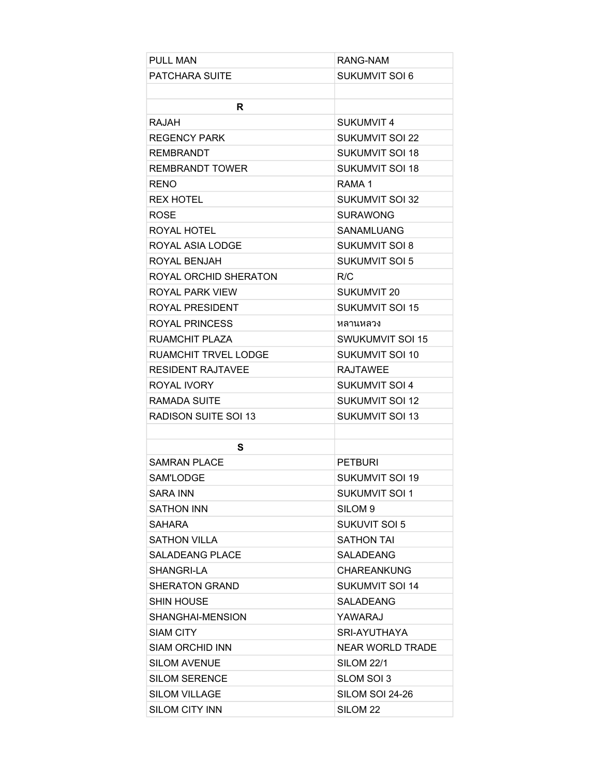| <b>PULL MAN</b>             | RANG-NAM                |
|-----------------------------|-------------------------|
| PATCHARA SUITE              | <b>SUKUMVIT SOI 6</b>   |
|                             |                         |
| R                           |                         |
| <b>RAJAH</b>                | <b>SUKUMVIT 4</b>       |
| REGENCY PARK                | <b>SUKUMVIT SOI 22</b>  |
| <b>REMBRANDT</b>            | <b>SUKUMVIT SOI 18</b>  |
| <b>REMBRANDT TOWER</b>      | <b>SUKUMVIT SOI 18</b>  |
| <b>RENO</b>                 | RAMA 1                  |
| <b>REX HOTEL</b>            | SUKUMVIT SOI 32         |
| <b>ROSE</b>                 | <b>SURAWONG</b>         |
| ROYAL HOTEL                 | SANAMLUANG              |
| ROYAL ASIA LODGE            | <b>SUKUMVIT SOI 8</b>   |
| ROYAL BENJAH                | <b>SUKUMVIT SOI 5</b>   |
| ROYAL ORCHID SHERATON       | R/C                     |
| ROYAL PARK VIEW             | <b>SUKUMVIT 20</b>      |
| ROYAL PRESIDENT             | <b>SUKUMVIT SOI 15</b>  |
| <b>ROYAL PRINCESS</b>       | หลานหลวง                |
| RUAMCHIT PLAZA              | <b>SWUKUMVIT SOI 15</b> |
| <b>RUAMCHIT TRVEL LODGE</b> | SUKUMVIT SOI 10         |
| <b>RESIDENT RAJTAVEE</b>    | <b>RAJTAWEE</b>         |
| ROYAL IVORY                 | <b>SUKUMVIT SOI 4</b>   |
| RAMADA SUITE                | <b>SUKUMVIT SOI 12</b>  |
| RADISON SUITE SOI 13        | <b>SUKUMVIT SOI 13</b>  |
|                             |                         |
| S                           |                         |
| <b>SAMRAN PLACE</b>         | <b>PETBURI</b>          |
| SAM'LODGE                   | SUKUMVIT SOI 19         |
| SARA INN                    | <b>SUKUMVIT SOI 1</b>   |
| SATHON INN                  | SILOM <sub>9</sub>      |
| <b>SAHARA</b>               | <b>SUKUVIT SOI 5</b>    |
| <b>SATHON VILLA</b>         | <b>SATHON TAI</b>       |
| <b>SALADEANG PLACE</b>      | <b>SALADEANG</b>        |
| SHANGRI-LA                  | <b>CHAREANKUNG</b>      |
| <b>SHERATON GRAND</b>       | <b>SUKUMVIT SOI 14</b>  |
| <b>SHIN HOUSE</b>           | <b>SALADEANG</b>        |
| SHANGHAI-MENSION            | YAWARAJ                 |
| SIAM CITY                   | SRI-AYUTHAYA            |
| <b>SIAM ORCHID INN</b>      | <b>NEAR WORLD TRADE</b> |
| <b>SILOM AVENUE</b>         | <b>SILOM 22/1</b>       |
| <b>SILOM SERENCE</b>        | SLOM SOI 3              |
| <b>SILOM VILLAGE</b>        | SILOM SOI 24-26         |
| <b>SILOM CITY INN</b>       | SILOM <sub>22</sub>     |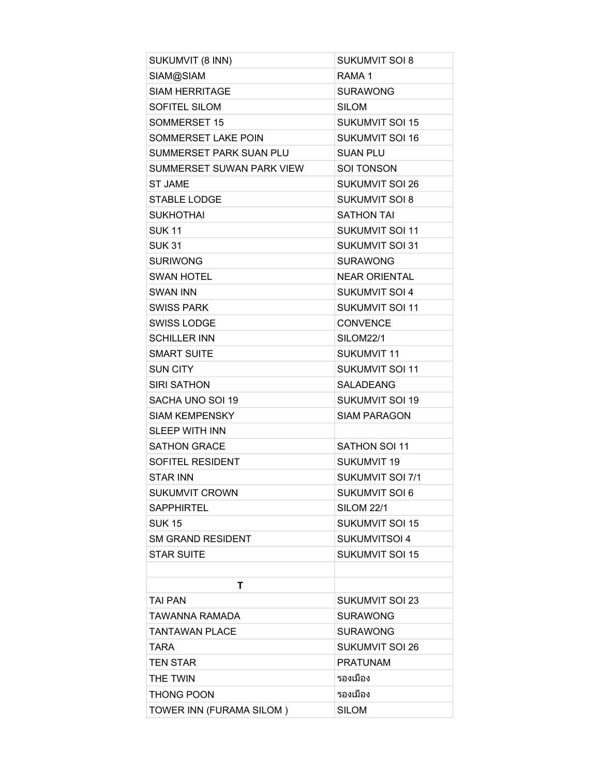| SUKUMVIT (8 INN)          | <b>SUKUMVIT SOI 8</b>   |
|---------------------------|-------------------------|
| SIAM@SIAM                 | RAMA <sub>1</sub>       |
| <b>SIAM HERRITAGE</b>     | <b>SURAWONG</b>         |
| <b>SOFITEL SILOM</b>      | <b>SILOM</b>            |
| <b>SOMMERSET 15</b>       | <b>SUKUMVIT SOI 15</b>  |
| SOMMERSET LAKE POIN       | <b>SUKUMVIT SOI 16</b>  |
| SUMMERSET PARK SUAN PLU   | <b>SUAN PLU</b>         |
| SUMMERSET SUWAN PARK VIEW | <b>SOI TONSON</b>       |
| <b>ST JAME</b>            | <b>SUKUMVIT SOI 26</b>  |
| <b>STABLE LODGE</b>       | <b>SUKUMVIT SOI 8</b>   |
| <b>SUKHOTHAI</b>          | <b>SATHON TAI</b>       |
| <b>SUK11</b>              | <b>SUKUMVIT SOI 11</b>  |
| <b>SUK 31</b>             | <b>SUKUMVIT SOI 31</b>  |
| <b>SURIWONG</b>           | <b>SURAWONG</b>         |
| <b>SWAN HOTEL</b>         | <b>NEAR ORIENTAL</b>    |
| <b>SWAN INN</b>           | <b>SUKUMVIT SOI 4</b>   |
| <b>SWISS PARK</b>         | <b>SUKUMVIT SOI 11</b>  |
| <b>SWISS LODGE</b>        | <b>CONVENCE</b>         |
| <b>SCHILLER INN</b>       | SILOM22/1               |
| <b>SMART SUITE</b>        | <b>SUKUMVIT 11</b>      |
| <b>SUN CITY</b>           | <b>SUKUMVIT SOI 11</b>  |
| <b>SIRI SATHON</b>        | <b>SALADEANG</b>        |
| SACHA UNO SOI 19          | <b>SUKUMVIT SOI 19</b>  |
| <b>SIAM KEMPENSKY</b>     | <b>SIAM PARAGON</b>     |
| <b>SLEEP WITH INN</b>     |                         |
| <b>SATHON GRACE</b>       | <b>SATHON SOI 11</b>    |
| SOFITEL RESIDENT          | <b>SUKUMVIT 19</b>      |
| <b>STAR INN</b>           | <b>SUKUMVIT SOI 7/1</b> |
| <b>SUKUMVIT CROWN</b>     | SUKUMVIT SOL6           |
| <b>SAPPHIRTEL</b>         | <b>SILOM 22/1</b>       |
| <b>SUK15</b>              | <b>SUKUMVIT SOI 15</b>  |
| <b>SM GRAND RESIDENT</b>  | <b>SUKUMVITSOI 4</b>    |
| <b>STAR SUITE</b>         | <b>SUKUMVIT SOI 15</b>  |
|                           |                         |
| т                         |                         |
| <b>TAI PAN</b>            | <b>SUKUMVIT SOI 23</b>  |
| TAWANNA RAMADA            | <b>SURAWONG</b>         |
| <b>TANTAWAN PLACE</b>     | <b>SURAWONG</b>         |
| <b>TARA</b>               | <b>SUKUMVIT SOI 26</b>  |
| <b>TEN STAR</b>           | <b>PRATUNAM</b>         |
| THE TWIN                  | รองเมือง                |
| <b>THONG POON</b>         | รองเมือง                |
| TOWER INN (FURAMA SILOM)  | <b>SILOM</b>            |